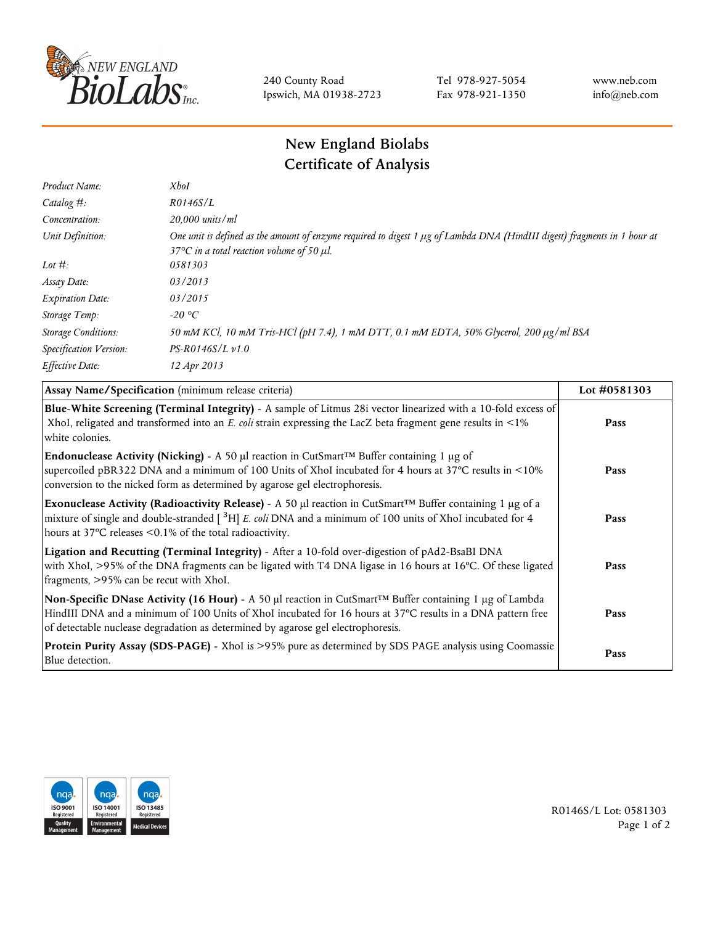

240 County Road Ipswich, MA 01938-2723 Tel 978-927-5054 Fax 978-921-1350 www.neb.com info@neb.com

## **New England Biolabs Certificate of Analysis**

| Product Name:              | <b>XhoI</b>                                                                                                                                                                           |
|----------------------------|---------------------------------------------------------------------------------------------------------------------------------------------------------------------------------------|
| Catalog $#$ :              | R0146S/L                                                                                                                                                                              |
| Concentration:             | 20,000 units/ml                                                                                                                                                                       |
| Unit Definition:           | One unit is defined as the amount of enzyme required to digest 1 µg of Lambda DNA (HindIII digest) fragments in 1 hour at<br>37 $\degree$ C in a total reaction volume of 50 $\mu$ l. |
| Lot $#$ :                  | 0581303                                                                                                                                                                               |
| Assay Date:                | 03/2013                                                                                                                                                                               |
| <b>Expiration Date:</b>    | 03/2015                                                                                                                                                                               |
| Storage Temp:              | -20 °C                                                                                                                                                                                |
| <b>Storage Conditions:</b> | 50 mM KCl, 10 mM Tris-HCl (pH 7.4), 1 mM DTT, 0.1 mM EDTA, 50% Glycerol, 200 µg/ml BSA                                                                                                |
| Specification Version:     | $PS-R0146S/L \nu 1.0$                                                                                                                                                                 |
| Effective Date:            | 12 Apr 2013                                                                                                                                                                           |
|                            |                                                                                                                                                                                       |

| Assay Name/Specification (minimum release criteria)                                                                                                                                                                                                                                                                        | Lot #0581303 |
|----------------------------------------------------------------------------------------------------------------------------------------------------------------------------------------------------------------------------------------------------------------------------------------------------------------------------|--------------|
| Blue-White Screening (Terminal Integrity) - A sample of Litmus 28i vector linearized with a 10-fold excess of<br>XhoI, religated and transformed into an E. coli strain expressing the LacZ beta fragment gene results in <1%<br>white colonies.                                                                           | Pass         |
| <b>Endonuclease Activity (Nicking)</b> - A 50 µl reaction in CutSmart <sup>TM</sup> Buffer containing 1 µg of<br>supercoiled pBR322 DNA and a minimum of 100 Units of XhoI incubated for 4 hours at 37°C results in <10%<br>conversion to the nicked form as determined by agarose gel electrophoresis.                    | Pass         |
| Exonuclease Activity (Radioactivity Release) - A 50 $\mu$ l reaction in CutSmart <sup>TM</sup> Buffer containing 1 $\mu$ g of a<br>mixture of single and double-stranded $[$ <sup>3</sup> H $]$ E. coli DNA and a minimum of 100 units of XhoI incubated for 4<br>hours at 37°C releases <0.1% of the total radioactivity. | Pass         |
| Ligation and Recutting (Terminal Integrity) - After a 10-fold over-digestion of pAd2-BsaBI DNA<br>with XhoI, >95% of the DNA fragments can be ligated with T4 DNA ligase in 16 hours at 16°C. Of these ligated<br>fragments, >95% can be recut with XhoI.                                                                  | Pass         |
| Non-Specific DNase Activity (16 Hour) - A 50 µl reaction in CutSmart™ Buffer containing 1 µg of Lambda<br>HindIII DNA and a minimum of 100 Units of XhoI incubated for 16 hours at 37°C results in a DNA pattern free<br>of detectable nuclease degradation as determined by agarose gel electrophoresis.                  | Pass         |
| Protein Purity Assay (SDS-PAGE) - XhoI is >95% pure as determined by SDS PAGE analysis using Coomassie<br>Blue detection.                                                                                                                                                                                                  | Pass         |



R0146S/L Lot: 0581303 Page 1 of 2